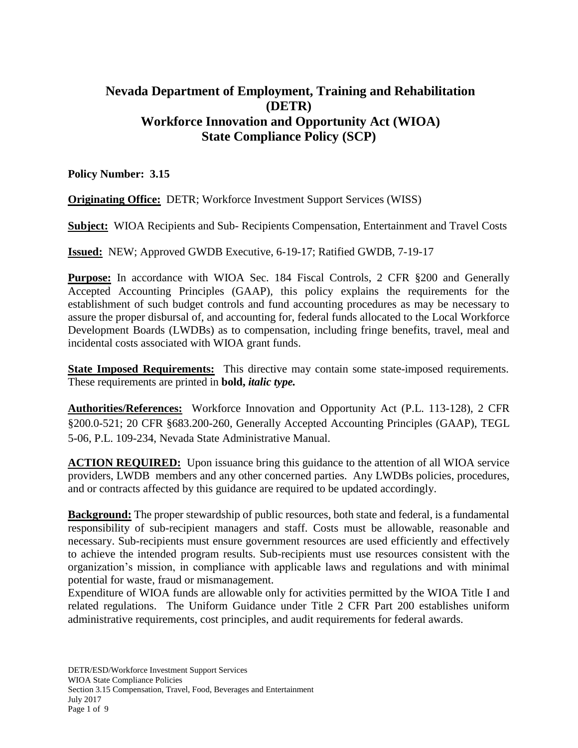# **Nevada Department of Employment, Training and Rehabilitation (DETR) Workforce Innovation and Opportunity Act (WIOA) State Compliance Policy (SCP)**

**Policy Number: 3.15**

**Originating Office:** DETR; Workforce Investment Support Services (WISS)

**Subject:** WIOA Recipients and Sub- Recipients Compensation, Entertainment and Travel Costs

**Issued:** NEW; Approved GWDB Executive, 6-19-17; Ratified GWDB, 7-19-17

**Purpose:** In accordance with WIOA Sec. 184 Fiscal Controls, 2 CFR §200 and Generally Accepted Accounting Principles (GAAP), this policy explains the requirements for the establishment of such budget controls and fund accounting procedures as may be necessary to assure the proper disbursal of, and accounting for, federal funds allocated to the Local Workforce Development Boards (LWDBs) as to compensation, including fringe benefits, travel, meal and incidental costs associated with WIOA grant funds.

**State Imposed Requirements:** This directive may contain some state-imposed requirements. These requirements are printed in **bold,** *italic type.*

**Authorities/References:** Workforce Innovation and Opportunity Act (P.L. 113-128), 2 CFR §200.0-521; 20 CFR §683.200-260, Generally Accepted Accounting Principles (GAAP), TEGL 5-06, P.L. 109-234, Nevada State Administrative Manual.

**ACTION REQUIRED:** Upon issuance bring this guidance to the attention of all WIOA service providers, LWDB members and any other concerned parties. Any LWDBs policies, procedures, and or contracts affected by this guidance are required to be updated accordingly.

**Background:** The proper stewardship of public resources, both state and federal, is a fundamental responsibility of sub-recipient managers and staff. Costs must be allowable, reasonable and necessary. Sub-recipients must ensure government resources are used efficiently and effectively to achieve the intended program results. Sub-recipients must use resources consistent with the organization's mission, in compliance with applicable laws and regulations and with minimal potential for waste, fraud or mismanagement.

Expenditure of WIOA funds are allowable only for activities permitted by the WIOA Title I and related regulations. The Uniform Guidance under Title 2 CFR Part 200 establishes uniform administrative requirements, cost principles, and audit requirements for federal awards.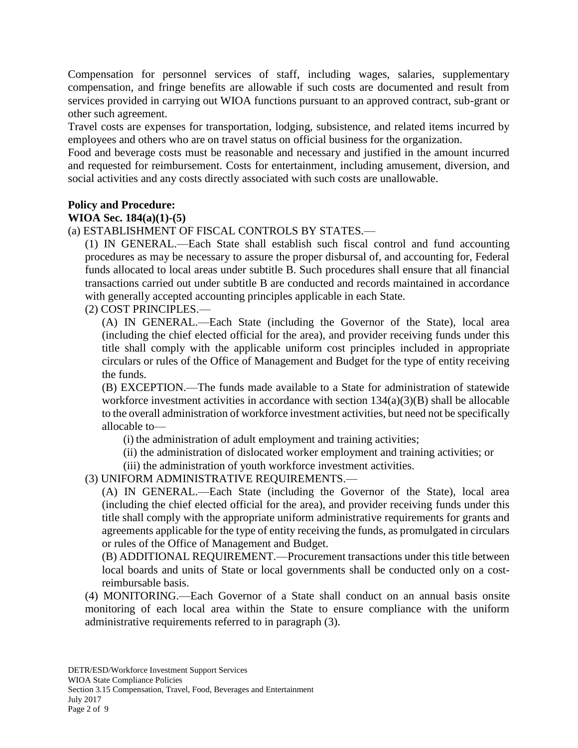Compensation for personnel services of staff, including wages, salaries, supplementary compensation, and fringe benefits are allowable if such costs are documented and result from services provided in carrying out WIOA functions pursuant to an approved contract, sub-grant or other such agreement.

Travel costs are expenses for transportation, lodging, subsistence, and related items incurred by employees and others who are on travel status on official business for the organization.

Food and beverage costs must be reasonable and necessary and justified in the amount incurred and requested for reimbursement. Costs for entertainment, including amusement, diversion, and social activities and any costs directly associated with such costs are unallowable.

## **Policy and Procedure:**

### **WIOA Sec. 184(a)(1)-(5)**

(a) ESTABLISHMENT OF FISCAL CONTROLS BY STATES.—

(1) IN GENERAL.—Each State shall establish such fiscal control and fund accounting procedures as may be necessary to assure the proper disbursal of, and accounting for, Federal funds allocated to local areas under subtitle B. Such procedures shall ensure that all financial transactions carried out under subtitle B are conducted and records maintained in accordance with generally accepted accounting principles applicable in each State.

## (2) COST PRINCIPLES.—

(A) IN GENERAL.—Each State (including the Governor of the State), local area (including the chief elected official for the area), and provider receiving funds under this title shall comply with the applicable uniform cost principles included in appropriate circulars or rules of the Office of Management and Budget for the type of entity receiving the funds.

(B) EXCEPTION.—The funds made available to a State for administration of statewide workforce investment activities in accordance with section  $134(a)(3)(B)$  shall be allocable to the overall administration of workforce investment activities, but need not be specifically allocable to—

(i) the administration of adult employment and training activities;

(ii) the administration of dislocated worker employment and training activities; or

(iii) the administration of youth workforce investment activities.

## (3) UNIFORM ADMINISTRATIVE REQUIREMENTS.—

(A) IN GENERAL.—Each State (including the Governor of the State), local area (including the chief elected official for the area), and provider receiving funds under this title shall comply with the appropriate uniform administrative requirements for grants and agreements applicable for the type of entity receiving the funds, as promulgated in circulars or rules of the Office of Management and Budget.

(B) ADDITIONAL REQUIREMENT.—Procurement transactions under this title between local boards and units of State or local governments shall be conducted only on a costreimbursable basis.

(4) MONITORING.—Each Governor of a State shall conduct on an annual basis onsite monitoring of each local area within the State to ensure compliance with the uniform administrative requirements referred to in paragraph (3).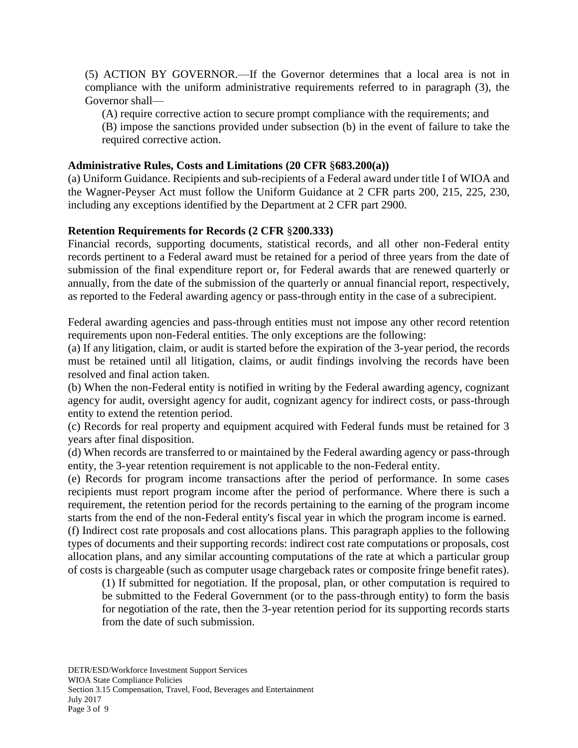(5) ACTION BY GOVERNOR.—If the Governor determines that a local area is not in compliance with the uniform administrative requirements referred to in paragraph (3), the Governor shall—

(A) require corrective action to secure prompt compliance with the requirements; and (B) impose the sanctions provided under subsection (b) in the event of failure to take the required corrective action.

## **Administrative Rules, Costs and Limitations (20 CFR** §**683.200(a))**

(a) Uniform Guidance. Recipients and sub-recipients of a Federal award under title I of WIOA and the Wagner-Peyser Act must follow the Uniform Guidance at 2 CFR parts 200, 215, 225, 230, including any exceptions identified by the Department at 2 CFR part 2900.

## **Retention Requirements for Records (2 CFR** §**200.333)**

Financial records, supporting documents, statistical records, and all other non-Federal entity records pertinent to a Federal award must be retained for a period of three years from the date of submission of the final expenditure report or, for Federal awards that are renewed quarterly or annually, from the date of the submission of the quarterly or annual financial report, respectively, as reported to the Federal awarding agency or pass-through entity in the case of a subrecipient.

Federal awarding agencies and pass-through entities must not impose any other record retention requirements upon non-Federal entities. The only exceptions are the following:

(a) If any litigation, claim, or audit is started before the expiration of the 3-year period, the records must be retained until all litigation, claims, or audit findings involving the records have been resolved and final action taken.

(b) When the non-Federal entity is notified in writing by the Federal awarding agency, cognizant agency for audit, oversight agency for audit, cognizant agency for indirect costs, or pass-through entity to extend the retention period.

(c) Records for real property and equipment acquired with Federal funds must be retained for 3 years after final disposition.

(d) When records are transferred to or maintained by the Federal awarding agency or pass-through entity, the 3-year retention requirement is not applicable to the non-Federal entity.

(e) Records for program income transactions after the period of performance. In some cases recipients must report program income after the period of performance. Where there is such a requirement, the retention period for the records pertaining to the earning of the program income starts from the end of the non-Federal entity's fiscal year in which the program income is earned.

(f) Indirect cost rate proposals and cost allocations plans. This paragraph applies to the following types of documents and their supporting records: indirect cost rate computations or proposals, cost allocation plans, and any similar accounting computations of the rate at which a particular group of costs is chargeable (such as computer usage chargeback rates or composite fringe benefit rates).

(1) If submitted for negotiation. If the proposal, plan, or other computation is required to be submitted to the Federal Government (or to the pass-through entity) to form the basis for negotiation of the rate, then the 3-year retention period for its supporting records starts from the date of such submission.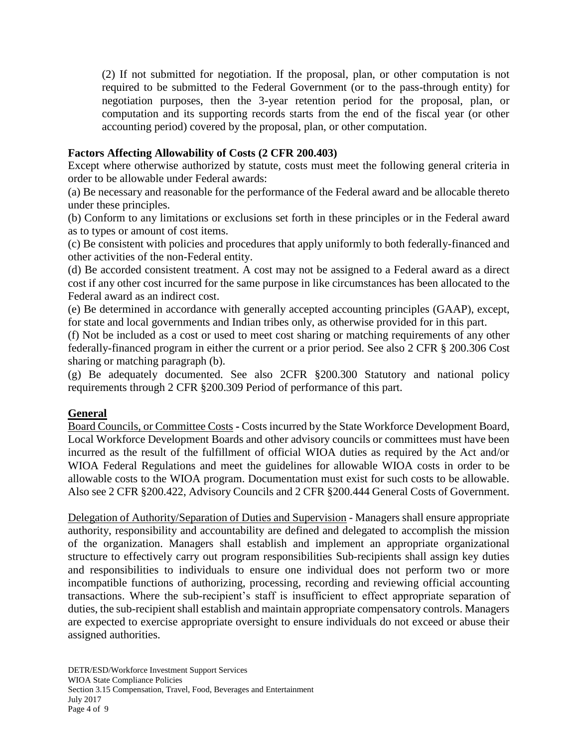(2) If not submitted for negotiation. If the proposal, plan, or other computation is not required to be submitted to the Federal Government (or to the pass-through entity) for negotiation purposes, then the 3-year retention period for the proposal, plan, or computation and its supporting records starts from the end of the fiscal year (or other accounting period) covered by the proposal, plan, or other computation.

## **Factors Affecting Allowability of Costs (2 CFR 200.403)**

Except where otherwise authorized by statute, costs must meet the following general criteria in order to be allowable under Federal awards:

(a) Be necessary and reasonable for the performance of the Federal award and be allocable thereto under these principles.

(b) Conform to any limitations or exclusions set forth in these principles or in the Federal award as to types or amount of cost items.

(c) Be consistent with policies and procedures that apply uniformly to both federally-financed and other activities of the non-Federal entity.

(d) Be accorded consistent treatment. A cost may not be assigned to a Federal award as a direct cost if any other cost incurred for the same purpose in like circumstances has been allocated to the Federal award as an indirect cost.

(e) Be determined in accordance with generally accepted accounting principles (GAAP), except, for state and local governments and Indian tribes only, as otherwise provided for in this part.

(f) Not be included as a cost or used to meet cost sharing or matching requirements of any other federally-financed program in either the current or a prior period. See also 2 CFR § 200.306 Cost sharing or matching paragraph (b).

(g) Be adequately documented. See also 2CFR §200.300 Statutory and national policy requirements through 2 CFR §200.309 Period of performance of this part.

### **General**

Board Councils, or Committee Costs **-** Costs incurred by the State Workforce Development Board, Local Workforce Development Boards and other advisory councils or committees must have been incurred as the result of the fulfillment of official WIOA duties as required by the Act and/or WIOA Federal Regulations and meet the guidelines for allowable WIOA costs in order to be allowable costs to the WIOA program. Documentation must exist for such costs to be allowable. Also see 2 CFR §200.422, Advisory Councils and 2 CFR §200.444 General Costs of Government.

Delegation of Authority/Separation of Duties and Supervision - Managers shall ensure appropriate authority, responsibility and accountability are defined and delegated to accomplish the mission of the organization. Managers shall establish and implement an appropriate organizational structure to effectively carry out program responsibilities Sub-recipients shall assign key duties and responsibilities to individuals to ensure one individual does not perform two or more incompatible functions of authorizing, processing, recording and reviewing official accounting transactions. Where the sub-recipient's staff is insufficient to effect appropriate separation of duties, the sub-recipient shall establish and maintain appropriate compensatory controls. Managers are expected to exercise appropriate oversight to ensure individuals do not exceed or abuse their assigned authorities.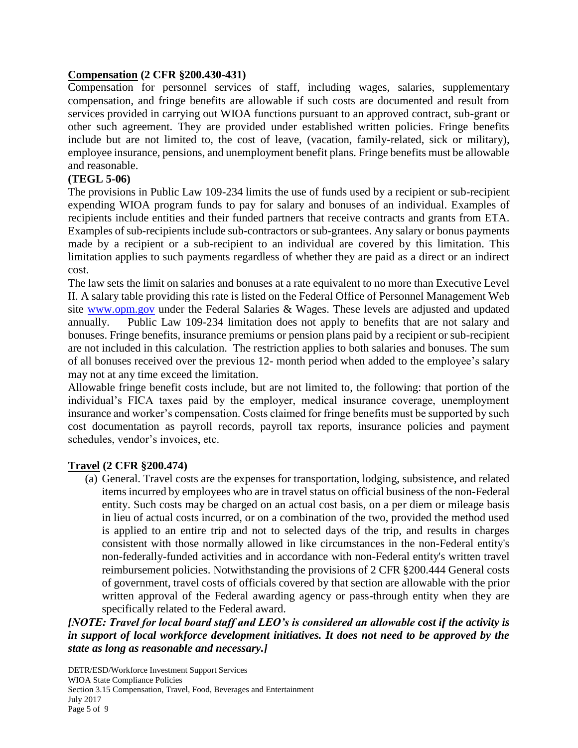## **Compensation (2 CFR §200.430-431)**

Compensation for personnel services of staff, including wages, salaries, supplementary compensation, and fringe benefits are allowable if such costs are documented and result from services provided in carrying out WIOA functions pursuant to an approved contract, sub-grant or other such agreement. They are provided under established written policies. Fringe benefits include but are not limited to, the cost of leave, (vacation, family-related, sick or military), employee insurance, pensions, and unemployment benefit plans. Fringe benefits must be allowable and reasonable.

## **(TEGL 5-06)**

The provisions in Public Law 109-234 limits the use of funds used by a recipient or sub-recipient expending WIOA program funds to pay for salary and bonuses of an individual. Examples of recipients include entities and their funded partners that receive contracts and grants from ETA. Examples of sub-recipients include sub-contractors or sub-grantees. Any salary or bonus payments made by a recipient or a sub-recipient to an individual are covered by this limitation. This limitation applies to such payments regardless of whether they are paid as a direct or an indirect cost.

The law sets the limit on salaries and bonuses at a rate equivalent to no more than Executive Level II. A salary table providing this rate is listed on the Federal Office of Personnel Management Web site [www.opm.gov](http://www.opm.gov/) under the Federal Salaries & Wages. These levels are adjusted and updated annually. Public Law 109-234 limitation does not apply to benefits that are not salary and bonuses. Fringe benefits, insurance premiums or pension plans paid by a recipient or sub-recipient are not included in this calculation. The restriction applies to both salaries and bonuses. The sum of all bonuses received over the previous 12- month period when added to the employee's salary may not at any time exceed the limitation.

Allowable fringe benefit costs include, but are not limited to, the following: that portion of the individual's FICA taxes paid by the employer, medical insurance coverage, unemployment insurance and worker's compensation. Costs claimed for fringe benefits must be supported by such cost documentation as payroll records, payroll tax reports, insurance policies and payment schedules, vendor's invoices, etc.

## **Travel (2 CFR §200.474)**

(a) General. Travel costs are the expenses for transportation, lodging, subsistence, and related items incurred by employees who are in travel status on official business of the non-Federal entity. Such costs may be charged on an actual cost basis, on a per diem or mileage basis in lieu of actual costs incurred, or on a combination of the two, provided the method used is applied to an entire trip and not to selected days of the trip, and results in charges consistent with those normally allowed in like circumstances in the non-Federal entity's non-federally-funded activities and in accordance with non-Federal entity's written travel reimbursement policies. Notwithstanding the provisions of 2 CFR §200.444 General costs of government, travel costs of officials covered by that section are allowable with the prior written approval of the Federal awarding agency or pass-through entity when they are specifically related to the Federal award.

*[NOTE: Travel for local board staff and LEO's is considered an allowable cost if the activity is in support of local workforce development initiatives. It does not need to be approved by the state as long as reasonable and necessary.]*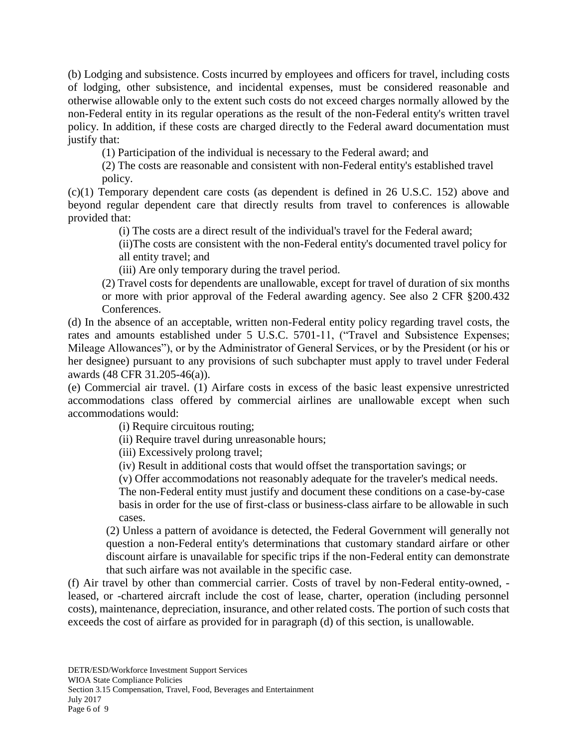(b) Lodging and subsistence. Costs incurred by employees and officers for travel, including costs of lodging, other subsistence, and incidental expenses, must be considered reasonable and otherwise allowable only to the extent such costs do not exceed charges normally allowed by the non-Federal entity in its regular operations as the result of the non-Federal entity's written travel policy. In addition, if these costs are charged directly to the Federal award documentation must justify that:

(1) Participation of the individual is necessary to the Federal award; and

(2) The costs are reasonable and consistent with non-Federal entity's established travel policy.

(c)(1) Temporary dependent care costs (as dependent is defined in 26 U.S.C. 152) above and beyond regular dependent care that directly results from travel to conferences is allowable provided that:

(i) The costs are a direct result of the individual's travel for the Federal award;

(ii)The costs are consistent with the non-Federal entity's documented travel policy for all entity travel; and

(iii) Are only temporary during the travel period.

(2) Travel costs for dependents are unallowable, except for travel of duration of six months or more with prior approval of the Federal awarding agency. See also 2 CFR §200.432 Conferences.

(d) In the absence of an acceptable, written non-Federal entity policy regarding travel costs, the rates and amounts established under 5 U.S.C. 5701-11, ("Travel and Subsistence Expenses; Mileage Allowances"), or by the Administrator of General Services, or by the President (or his or her designee) pursuant to any provisions of such subchapter must apply to travel under Federal awards (48 CFR 31.205-46(a)).

(e) Commercial air travel. (1) Airfare costs in excess of the basic least expensive unrestricted accommodations class offered by commercial airlines are unallowable except when such accommodations would:

(i) Require circuitous routing;

(ii) Require travel during unreasonable hours;

(iii) Excessively prolong travel;

(iv) Result in additional costs that would offset the transportation savings; or

(v) Offer accommodations not reasonably adequate for the traveler's medical needs.

The non-Federal entity must justify and document these conditions on a case-by-case basis in order for the use of first-class or business-class airfare to be allowable in such cases.

(2) Unless a pattern of avoidance is detected, the Federal Government will generally not question a non-Federal entity's determinations that customary standard airfare or other discount airfare is unavailable for specific trips if the non-Federal entity can demonstrate that such airfare was not available in the specific case.

(f) Air travel by other than commercial carrier. Costs of travel by non-Federal entity-owned, leased, or -chartered aircraft include the cost of lease, charter, operation (including personnel costs), maintenance, depreciation, insurance, and other related costs. The portion of such costs that exceeds the cost of airfare as provided for in paragraph (d) of this section, is unallowable.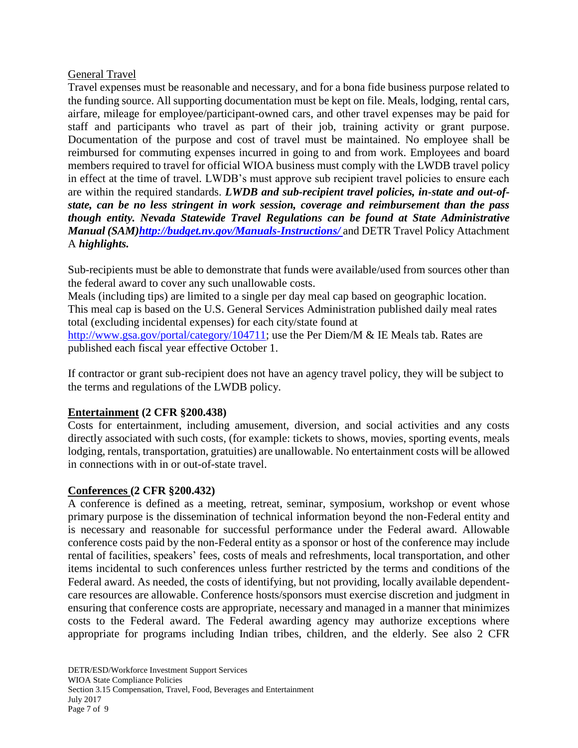## General Travel

Travel expenses must be reasonable and necessary, and for a bona fide business purpose related to the funding source. All supporting documentation must be kept on file. Meals, lodging, rental cars, airfare, mileage for employee/participant-owned cars, and other travel expenses may be paid for staff and participants who travel as part of their job, training activity or grant purpose. Documentation of the purpose and cost of travel must be maintained. No employee shall be reimbursed for commuting expenses incurred in going to and from work. Employees and board members required to travel for official WIOA business must comply with the LWDB travel policy in effect at the time of travel. LWDB's must approve sub recipient travel policies to ensure each are within the required standards. *LWDB and sub-recipient travel policies, in-state and out-ofstate, can be no less stringent in work session, coverage and reimbursement than the pass though entity. Nevada Statewide Travel Regulations can be found at State Administrative Manual (SAM[\)http://budget.nv.gov/Manuals-Instructions/](http://budget.nv.gov/Manuals-Instructions/%20and)* and DETR Travel Policy Attachment A *highlights.*

Sub-recipients must be able to demonstrate that funds were available/used from sources other than the federal award to cover any such unallowable costs.

Meals (including tips) are limited to a single per day meal cap based on geographic location. This meal cap is based on the U.S. General Services Administration published daily meal rates total (excluding incidental expenses) for each city/state found at [http://www.gsa.gov/portal/category/104711;](http://www.gsa.gov/portal/category/104711) use the Per Diem/M & IE Meals tab. Rates are published each fiscal year effective October 1.

If contractor or grant sub-recipient does not have an agency travel policy, they will be subject to the terms and regulations of the LWDB policy.

## **Entertainment (2 CFR §200.438)**

Costs for entertainment, including amusement, diversion, and social activities and any costs directly associated with such costs, (for example: tickets to shows, movies, sporting events, meals lodging, rentals, transportation, gratuities) are unallowable. No entertainment costs will be allowed in connections with in or out-of-state travel.

## **Conferences (2 CFR §200.432)**

A conference is defined as a meeting, retreat, seminar, symposium, workshop or event whose primary purpose is the dissemination of technical information beyond the non-Federal entity and is necessary and reasonable for successful performance under the Federal award. Allowable conference costs paid by the non-Federal entity as a sponsor or host of the conference may include rental of facilities, speakers' fees, costs of meals and refreshments, local transportation, and other items incidental to such conferences unless further restricted by the terms and conditions of the Federal award. As needed, the costs of identifying, but not providing, locally available dependentcare resources are allowable. Conference hosts/sponsors must exercise discretion and judgment in ensuring that conference costs are appropriate, necessary and managed in a manner that minimizes costs to the Federal award. The Federal awarding agency may authorize exceptions where appropriate for programs including Indian tribes, children, and the elderly. See also 2 CFR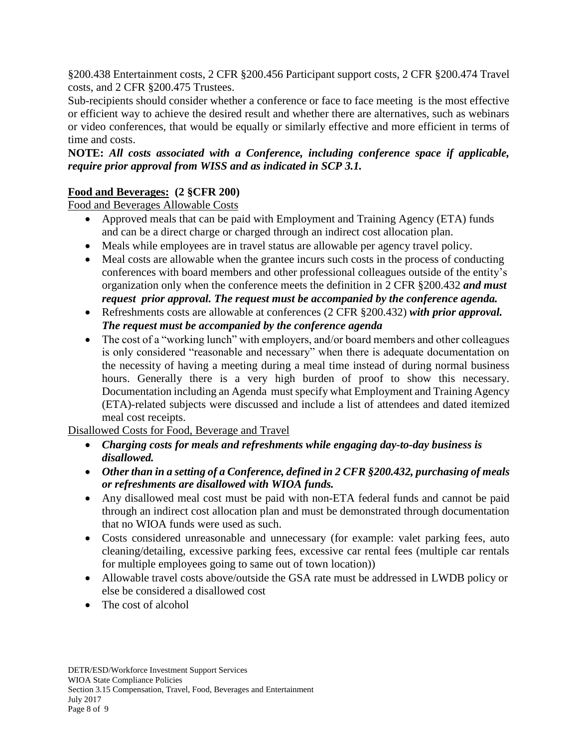§200.438 Entertainment costs, 2 CFR §200.456 Participant support costs, 2 CFR §200.474 Travel costs, and 2 CFR §200.475 Trustees.

Sub-recipients should consider whether a conference or face to face meeting is the most effective or efficient way to achieve the desired result and whether there are alternatives, such as webinars or video conferences, that would be equally or similarly effective and more efficient in terms of time and costs.

## **NOTE:** *All costs associated with a Conference, including conference space if applicable, require prior approval from WISS and as indicated in SCP 3.1.*

# **Food and Beverages: (2 §CFR 200)**

Food and Beverages Allowable Costs

- Approved meals that can be paid with Employment and Training Agency (ETA) funds and can be a direct charge or charged through an indirect cost allocation plan.
- Meals while employees are in travel status are allowable per agency travel policy.
- Meal costs are allowable when the grantee incurs such costs in the process of conducting conferences with board members and other professional colleagues outside of the entity's organization only when the conference meets the definition in 2 CFR §200.432 *and must request prior approval. The request must be accompanied by the conference agenda.*
- Refreshments costs are allowable at conferences (2 CFR §200.432) *with prior approval. The request must be accompanied by the conference agenda*
- The cost of a "working lunch" with employers, and/or board members and other colleagues is only considered "reasonable and necessary" when there is adequate documentation on the necessity of having a meeting during a meal time instead of during normal business hours. Generally there is a very high burden of proof to show this necessary. Documentation including an Agenda must specify what Employment and Training Agency (ETA)-related subjects were discussed and include a list of attendees and dated itemized meal cost receipts.

Disallowed Costs for Food, Beverage and Travel

- *Charging costs for meals and refreshments while engaging day-to-day business is disallowed.*
- *Other than in a setting of a Conference, defined in 2 CFR §200.432, purchasing of meals or refreshments are disallowed with WIOA funds.*
- Any disallowed meal cost must be paid with non-ETA federal funds and cannot be paid through an indirect cost allocation plan and must be demonstrated through documentation that no WIOA funds were used as such.
- Costs considered unreasonable and unnecessary (for example: valet parking fees, auto cleaning/detailing, excessive parking fees, excessive car rental fees (multiple car rentals for multiple employees going to same out of town location))
- Allowable travel costs above/outside the GSA rate must be addressed in LWDB policy or else be considered a disallowed cost
- The cost of alcohol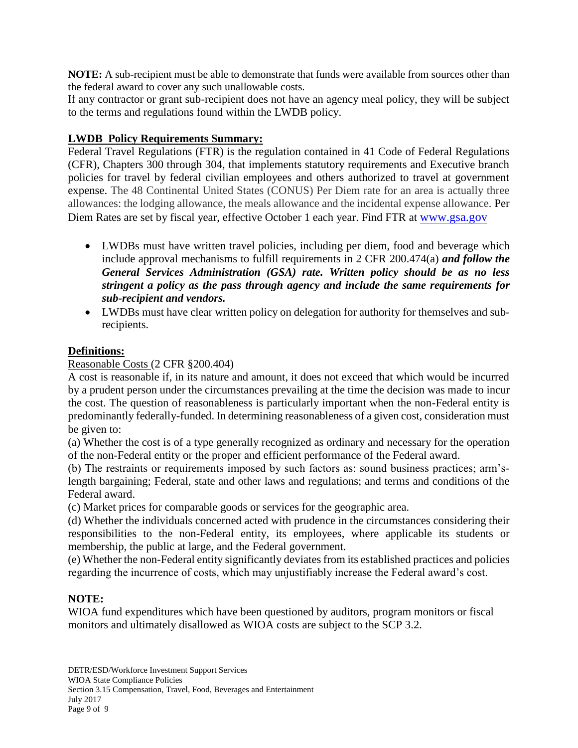**NOTE:** A sub-recipient must be able to demonstrate that funds were available from sources other than the federal award to cover any such unallowable costs.

If any contractor or grant sub-recipient does not have an agency meal policy, they will be subject to the terms and regulations found within the LWDB policy.

## **LWDB Policy Requirements Summary:**

Federal Travel Regulations (FTR) is the regulation contained in 41 Code of Federal Regulations (CFR), Chapters 300 through 304, that implements statutory requirements and Executive branch policies for travel by federal civilian employees and others authorized to travel at government expense. The 48 Continental United States (CONUS) Per Diem rate for an area is actually three allowances: the lodging allowance, the meals allowance and the incidental expense allowance. Per Diem Rates are set by fiscal year, effective October 1 each year. Find FTR at [www.gsa.gov](http://www.gsa.gov/)

- LWDBs must have written travel policies, including per diem, food and beverage which include approval mechanisms to fulfill requirements in 2 CFR 200.474(a) *and follow the General Services Administration (GSA) rate. Written policy should be as no less stringent a policy as the pass through agency and include the same requirements for sub-recipient and vendors.*
- LWDBs must have clear written policy on delegation for authority for themselves and subrecipients.

## **Definitions:**

## Reasonable Costs (2 CFR §200.404)

A cost is reasonable if, in its nature and amount, it does not exceed that which would be incurred by a prudent person under the circumstances prevailing at the time the decision was made to incur the cost. The question of reasonableness is particularly important when the non-Federal entity is predominantly federally-funded. In determining reasonableness of a given cost, consideration must be given to:

(a) Whether the cost is of a type generally recognized as ordinary and necessary for the operation of the non-Federal entity or the proper and efficient performance of the Federal award.

(b) The restraints or requirements imposed by such factors as: sound business practices; arm'slength bargaining; Federal, state and other laws and regulations; and terms and conditions of the Federal award.

(c) Market prices for comparable goods or services for the geographic area.

(d) Whether the individuals concerned acted with prudence in the circumstances considering their responsibilities to the non-Federal entity, its employees, where applicable its students or membership, the public at large, and the Federal government.

(e) Whether the non-Federal entity significantly deviates from its established practices and policies regarding the incurrence of costs, which may unjustifiably increase the Federal award's cost.

## **NOTE:**

WIOA fund expenditures which have been questioned by auditors, program monitors or fiscal monitors and ultimately disallowed as WIOA costs are subject to the SCP 3.2.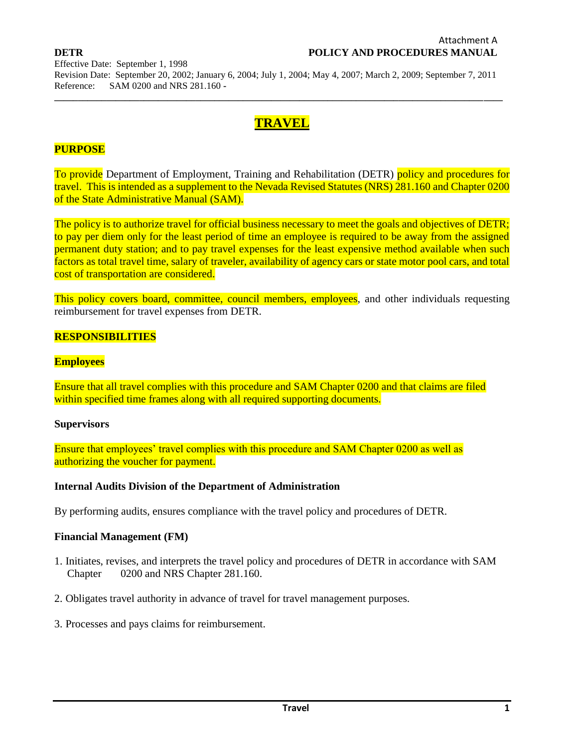**\_\_\_\_\_\_\_\_\_\_\_\_\_\_\_\_\_\_\_\_\_\_\_\_\_\_\_\_\_\_\_\_\_\_\_\_\_\_\_\_\_\_\_\_\_\_\_\_\_\_\_\_\_\_\_\_\_\_\_\_\_\_\_\_\_\_\_\_\_\_\_\_\_\_\_\_\_\_\_\_\_\_\_\_\_\_\_\_\_\_\_\_\_\_\_**

# **TRAVEL**

## **PURPOSE**

To provide Department of Employment, Training and Rehabilitation (DETR) policy and procedures for travel. This is intended as a supplement to the Nevada Revised Statutes (NRS) 281.160 and Chapter 0200 of the State Administrative Manual (SAM).

The policy is to authorize travel for official business necessary to meet the goals and objectives of DETR; to pay per diem only for the least period of time an employee is required to be away from the assigned permanent duty station; and to pay travel expenses for the least expensive method available when such factors as total travel time, salary of traveler, availability of agency cars or state motor pool cars, and total cost of transportation are considered.

This policy covers board, committee, council members, employees, and other individuals requesting reimbursement for travel expenses from DETR.

#### **RESPONSIBILITIES**

#### **Employees**

Ensure that all travel complies with this procedure and SAM Chapter 0200 and that claims are filed within specified time frames along with all required supporting documents.

#### **Supervisors**

Ensure that employees' travel complies with this procedure and SAM Chapter 0200 as well as authorizing the voucher for payment.

#### **Internal Audits Division of the Department of Administration**

By performing audits, ensures compliance with the travel policy and procedures of DETR.

#### **Financial Management (FM)**

- 1. Initiates, revises, and interprets the travel policy and procedures of DETR in accordance with SAM Chapter 0200 and NRS Chapter 281.160.
- 2. Obligates travel authority in advance of travel for travel management purposes.
- 3. Processes and pays claims for reimbursement.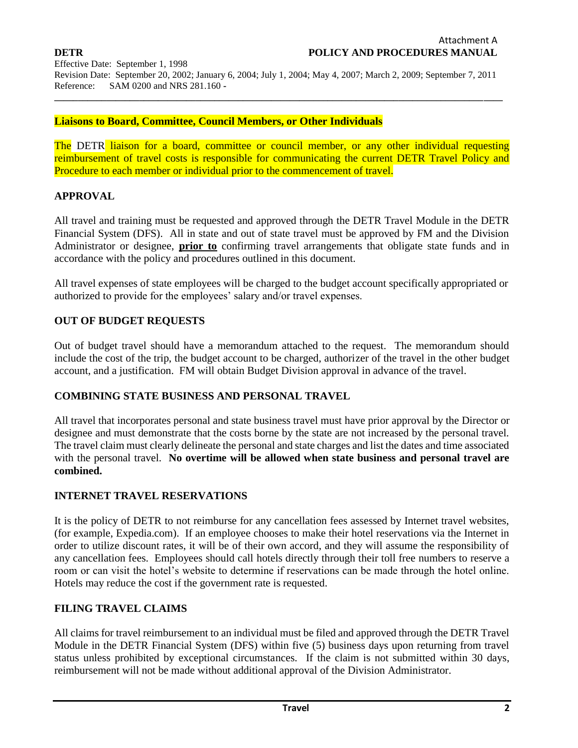**\_\_\_\_\_\_\_\_\_\_\_\_\_\_\_\_\_\_\_\_\_\_\_\_\_\_\_\_\_\_\_\_\_\_\_\_\_\_\_\_\_\_\_\_\_\_\_\_\_\_\_\_\_\_\_\_\_\_\_\_\_\_\_\_\_\_\_\_\_\_\_\_\_\_\_\_\_\_\_\_\_\_\_\_\_\_\_\_\_\_\_\_\_\_\_**

#### **Liaisons to Board, Committee, Council Members, or Other Individuals**

The DETR liaison for a board, committee or council member, or any other individual requesting reimbursement of travel costs is responsible for communicating the current DETR Travel Policy and Procedure to each member or individual prior to the commencement of travel.

#### **APPROVAL**

All travel and training must be requested and approved through the DETR Travel Module in the DETR Financial System (DFS). All in state and out of state travel must be approved by FM and the Division Administrator or designee, **prior to** confirming travel arrangements that obligate state funds and in accordance with the policy and procedures outlined in this document.

All travel expenses of state employees will be charged to the budget account specifically appropriated or authorized to provide for the employees' salary and/or travel expenses.

#### **OUT OF BUDGET REQUESTS**

Out of budget travel should have a memorandum attached to the request. The memorandum should include the cost of the trip, the budget account to be charged, authorizer of the travel in the other budget account, and a justification. FM will obtain Budget Division approval in advance of the travel.

#### **COMBINING STATE BUSINESS AND PERSONAL TRAVEL**

All travel that incorporates personal and state business travel must have prior approval by the Director or designee and must demonstrate that the costs borne by the state are not increased by the personal travel. The travel claim must clearly delineate the personal and state charges and list the dates and time associated with the personal travel*.* **No overtime will be allowed when state business and personal travel are combined.** 

### **INTERNET TRAVEL RESERVATIONS**

It is the policy of DETR to not reimburse for any cancellation fees assessed by Internet travel websites, (for example, Expedia.com). If an employee chooses to make their hotel reservations via the Internet in order to utilize discount rates, it will be of their own accord, and they will assume the responsibility of any cancellation fees. Employees should call hotels directly through their toll free numbers to reserve a room or can visit the hotel's website to determine if reservations can be made through the hotel online. Hotels may reduce the cost if the government rate is requested.

## **FILING TRAVEL CLAIMS**

All claims for travel reimbursement to an individual must be filed and approved through the DETR Travel Module in the DETR Financial System (DFS) within five (5) business days upon returning from travel status unless prohibited by exceptional circumstances. If the claim is not submitted within 30 days, reimbursement will not be made without additional approval of the Division Administrator.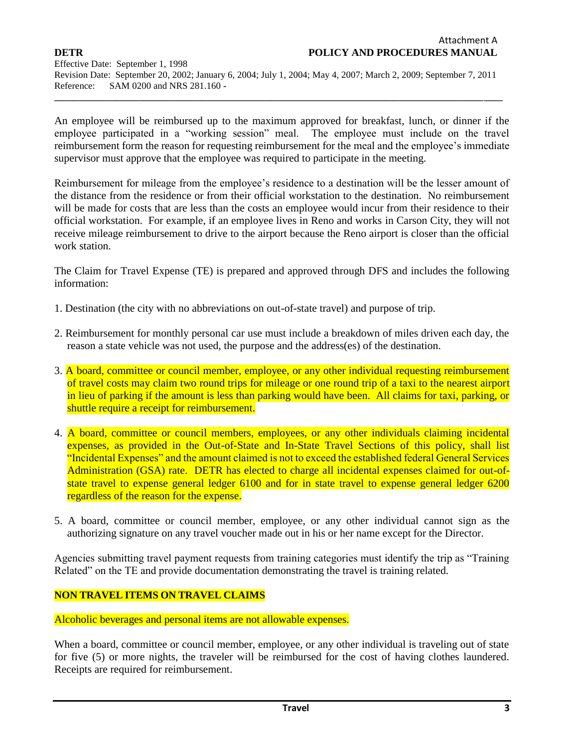**\_\_\_\_\_\_\_\_\_\_\_\_\_\_\_\_\_\_\_\_\_\_\_\_\_\_\_\_\_\_\_\_\_\_\_\_\_\_\_\_\_\_\_\_\_\_\_\_\_\_\_\_\_\_\_\_\_\_\_\_\_\_\_\_\_\_\_\_\_\_\_\_\_\_\_\_\_\_\_\_\_\_\_\_\_\_\_\_\_\_\_\_\_\_\_**

An employee will be reimbursed up to the maximum approved for breakfast, lunch, or dinner if the employee participated in a "working session" meal. The employee must include on the travel reimbursement form the reason for requesting reimbursement for the meal and the employee's immediate supervisor must approve that the employee was required to participate in the meeting.

Reimbursement for mileage from the employee's residence to a destination will be the lesser amount of the distance from the residence or from their official workstation to the destination. No reimbursement will be made for costs that are less than the costs an employee would incur from their residence to their official workstation. For example, if an employee lives in Reno and works in Carson City, they will not receive mileage reimbursement to drive to the airport because the Reno airport is closer than the official work station.

The Claim for Travel Expense (TE) is prepared and approved through DFS and includes the following information:

- 1. Destination (the city with no abbreviations on out-of-state travel) and purpose of trip.
- 2. Reimbursement for monthly personal car use must include a breakdown of miles driven each day, the reason a state vehicle was not used, the purpose and the address(es) of the destination.
- 3. A board, committee or council member, employee, or any other individual requesting reimbursement of travel costs may claim two round trips for mileage or one round trip of a taxi to the nearest airport in lieu of parking if the amount is less than parking would have been. All claims for taxi, parking, or shuttle require a receipt for reimbursement.
- 4. A board, committee or council members, employees, or any other individuals claiming incidental expenses, as provided in the Out-of-State and In-State Travel Sections of this policy, shall list "Incidental Expenses" and the amount claimed is not to exceed the established federal General Services Administration (GSA) rate. DETR has elected to charge all incidental expenses claimed for out-ofstate travel to expense general ledger 6100 and for in state travel to expense general ledger 6200 regardless of the reason for the expense.
- 5. A board, committee or council member, employee, or any other individual cannot sign as the authorizing signature on any travel voucher made out in his or her name except for the Director.

Agencies submitting travel payment requests from training categories must identify the trip as "Training Related" on the TE and provide documentation demonstrating the travel is training related.

### **NON TRAVEL ITEMS ON TRAVEL CLAIMS**

Alcoholic beverages and personal items are not allowable expenses.

When a board, committee or council member, employee, or any other individual is traveling out of state for five (5) or more nights, the traveler will be reimbursed for the cost of having clothes laundered. Receipts are required for reimbursement.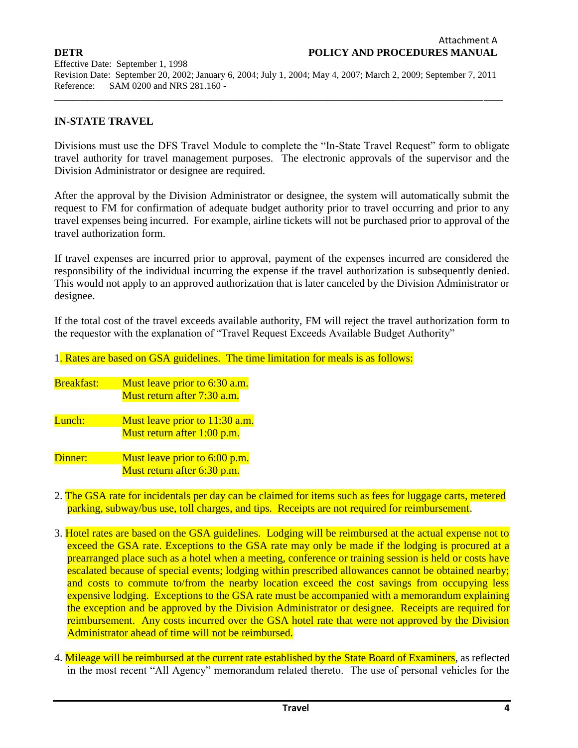**\_\_\_\_\_\_\_\_\_\_\_\_\_\_\_\_\_\_\_\_\_\_\_\_\_\_\_\_\_\_\_\_\_\_\_\_\_\_\_\_\_\_\_\_\_\_\_\_\_\_\_\_\_\_\_\_\_\_\_\_\_\_\_\_\_\_\_\_\_\_\_\_\_\_\_\_\_\_\_\_\_\_\_\_\_\_\_\_\_\_\_\_\_\_\_**

## **IN-STATE TRAVEL**

Divisions must use the DFS Travel Module to complete the "In-State Travel Request" form to obligate travel authority for travel management purposes. The electronic approvals of the supervisor and the Division Administrator or designee are required.

After the approval by the Division Administrator or designee, the system will automatically submit the request to FM for confirmation of adequate budget authority prior to travel occurring and prior to any travel expenses being incurred. For example, airline tickets will not be purchased prior to approval of the travel authorization form.

If travel expenses are incurred prior to approval, payment of the expenses incurred are considered the responsibility of the individual incurring the expense if the travel authorization is subsequently denied. This would not apply to an approved authorization that is later canceled by the Division Administrator or designee.

If the total cost of the travel exceeds available authority, FM will reject the travel authorization form to the requestor with the explanation of "Travel Request Exceeds Available Budget Authority"

| 1. Rates are based on GSA guidelines. The time limitation for meals is as follows: |                                                                |
|------------------------------------------------------------------------------------|----------------------------------------------------------------|
| <b>Breakfast:</b>                                                                  | Must leave prior to 6:30 a.m.<br>Must return after 7:30 a.m.   |
| Lunch:                                                                             | Must leave prior to 11:30 a.m.<br>Must return after 1:00 p.m.  |
| Dinner:                                                                            | Must leave prior to $6:00$ p.m.<br>Must return after 6:30 p.m. |

- 2. The GSA rate for incidentals per day can be claimed for items such as fees for luggage carts, metered parking, subway/bus use, toll charges, and tips. Receipts are not required for reimbursement.
- 3. Hotel rates are based on the GSA guidelines. Lodging will be reimbursed at the actual expense not to exceed the GSA rate. Exceptions to the GSA rate may only be made if the lodging is procured at a prearranged place such as a hotel when a meeting, conference or training session is held or costs have escalated because of special events; lodging within prescribed allowances cannot be obtained nearby; and costs to commute to/from the nearby location exceed the cost savings from occupying less expensive lodging. Exceptions to the GSA rate must be accompanied with a memorandum explaining the exception and be approved by the Division Administrator or designee. Receipts are required for reimbursement. Any costs incurred over the GSA hotel rate that were not approved by the Division Administrator ahead of time will not be reimbursed.
- 4. Mileage will be reimbursed at the current rate established by the State Board of Examiners, as reflected in the most recent "All Agency" memorandum related thereto. The use of personal vehicles for the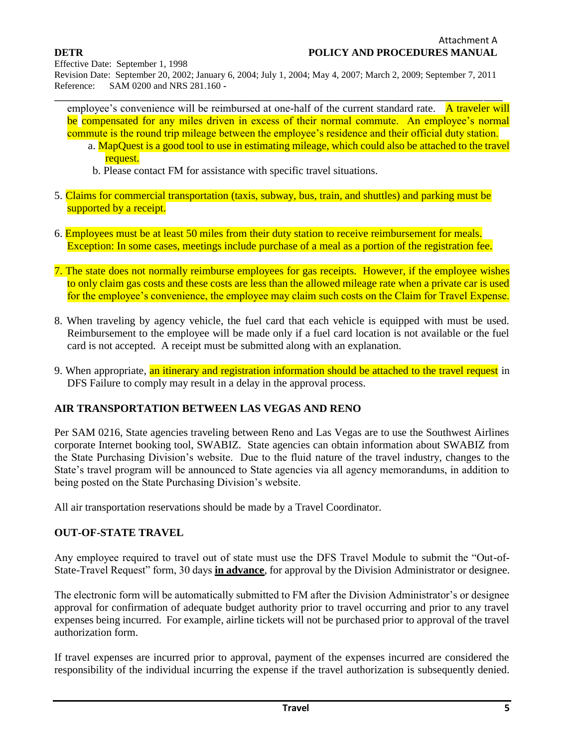Effective Date: September 1, 1998

Revision Date: September 20, 2002; January 6, 2004; July 1, 2004; May 4, 2007; March 2, 2009; September 7, 2011 Reference: SAM 0200 and NRS 281.160 **-**

**\_\_\_\_\_\_\_\_\_\_\_\_\_\_\_\_\_\_\_\_\_\_\_\_\_\_\_\_\_\_\_\_\_\_\_\_\_\_\_\_\_\_\_\_\_\_\_\_\_\_\_\_\_\_\_\_\_\_\_\_\_\_\_\_\_\_\_\_\_\_\_\_\_\_\_\_\_\_\_\_\_\_\_\_\_\_\_\_\_\_\_\_\_\_\_** employee's convenience will be reimbursed at one-half of the current standard rate. A traveler will be compensated for any miles driven in excess of their normal commute. An employee's normal commute is the round trip mileage between the employee's residence and their official duty station.

- a. MapQuest is a good tool to use in estimating mileage, which could also be attached to the travel request.
	- b. Please contact FM for assistance with specific travel situations.
- 5. Claims for commercial transportation (taxis, subway, bus, train, and shuttles) and parking must be supported by a receipt.
- 6. Employees must be at least 50 miles from their duty station to receive reimbursement for meals. Exception: In some cases, meetings include purchase of a meal as a portion of the registration fee.
- 7. The state does not normally reimburse employees for gas receipts. However, if the employee wishes to only claim gas costs and these costs are less than the allowed mileage rate when a private car is used for the employee's convenience, the employee may claim such costs on the Claim for Travel Expense.
- 8. When traveling by agency vehicle, the fuel card that each vehicle is equipped with must be used. Reimbursement to the employee will be made only if a fuel card location is not available or the fuel card is not accepted. A receipt must be submitted along with an explanation.
- 9. When appropriate, an itinerary and registration information should be attached to the travel request in DFS Failure to comply may result in a delay in the approval process.

### **AIR TRANSPORTATION BETWEEN LAS VEGAS AND RENO**

Per SAM 0216, State agencies traveling between Reno and Las Vegas are to use the Southwest Airlines corporate Internet booking tool, SWABIZ. State agencies can obtain information about SWABIZ from the State Purchasing Division's website. Due to the fluid nature of the travel industry, changes to the State's travel program will be announced to State agencies via all agency memorandums, in addition to being posted on the State Purchasing Division's website.

All air transportation reservations should be made by a Travel Coordinator.

### **OUT-OF-STATE TRAVEL**

Any employee required to travel out of state must use the DFS Travel Module to submit the "Out-of-State-Travel Request" form, 30 days **in advance**, for approval by the Division Administrator or designee.

The electronic form will be automatically submitted to FM after the Division Administrator's or designee approval for confirmation of adequate budget authority prior to travel occurring and prior to any travel expenses being incurred. For example, airline tickets will not be purchased prior to approval of the travel authorization form.

If travel expenses are incurred prior to approval, payment of the expenses incurred are considered the responsibility of the individual incurring the expense if the travel authorization is subsequently denied.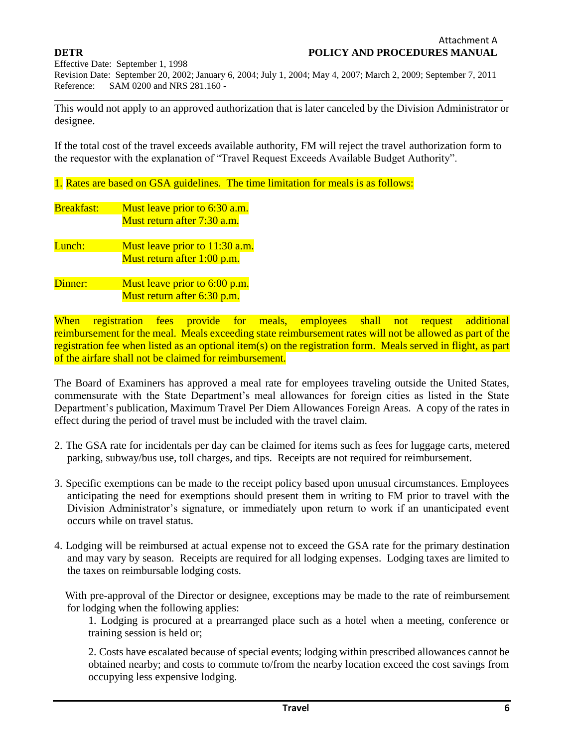**\_\_\_\_\_\_\_\_\_\_\_\_\_\_\_\_\_\_\_\_\_\_\_\_\_\_\_\_\_\_\_\_\_\_\_\_\_\_\_\_\_\_\_\_\_\_\_\_\_\_\_\_\_\_\_\_\_\_\_\_\_\_\_\_\_\_\_\_\_\_\_\_\_\_\_\_\_\_\_\_\_\_\_\_\_\_\_\_\_\_\_\_\_\_\_**

This would not apply to an approved authorization that is later canceled by the Division Administrator or designee.

If the total cost of the travel exceeds available authority, FM will reject the travel authorization form to the requestor with the explanation of "Travel Request Exceeds Available Budget Authority".

1. Rates are based on GSA guidelines. The time limitation for meals is as follows:

Breakfast: Must leave prior to 6:30 a.m. Must return after 7:30 a.m.

Lunch: Must leave prior to 11:30 a.m. Must return after 1:00 p.m.

Dinner: Must leave prior to 6:00 p.m. Must return after 6:30 p.m.

When registration fees provide for meals, employees shall not request additional reimbursement for the meal. Meals exceeding state reimbursement rates will not be allowed as part of the registration fee when listed as an optional item(s) on the registration form. Meals served in flight, as part of the airfare shall not be claimed for reimbursement.

The Board of Examiners has approved a meal rate for employees traveling outside the United States, commensurate with the State Department's meal allowances for foreign cities as listed in the State Department's publication, Maximum Travel Per Diem Allowances Foreign Areas. A copy of the rates in effect during the period of travel must be included with the travel claim.

- 2. The GSA rate for incidentals per day can be claimed for items such as fees for luggage carts, metered parking, subway/bus use, toll charges, and tips. Receipts are not required for reimbursement.
- 3. Specific exemptions can be made to the receipt policy based upon unusual circumstances. Employees anticipating the need for exemptions should present them in writing to FM prior to travel with the Division Administrator's signature, or immediately upon return to work if an unanticipated event occurs while on travel status.
- 4. Lodging will be reimbursed at actual expense not to exceed the GSA rate for the primary destination and may vary by season. Receipts are required for all lodging expenses. Lodging taxes are limited to the taxes on reimbursable lodging costs.

 With pre-approval of the Director or designee, exceptions may be made to the rate of reimbursement for lodging when the following applies:

1. Lodging is procured at a prearranged place such as a hotel when a meeting, conference or training session is held or;

2. Costs have escalated because of special events; lodging within prescribed allowances cannot be obtained nearby; and costs to commute to/from the nearby location exceed the cost savings from occupying less expensive lodging.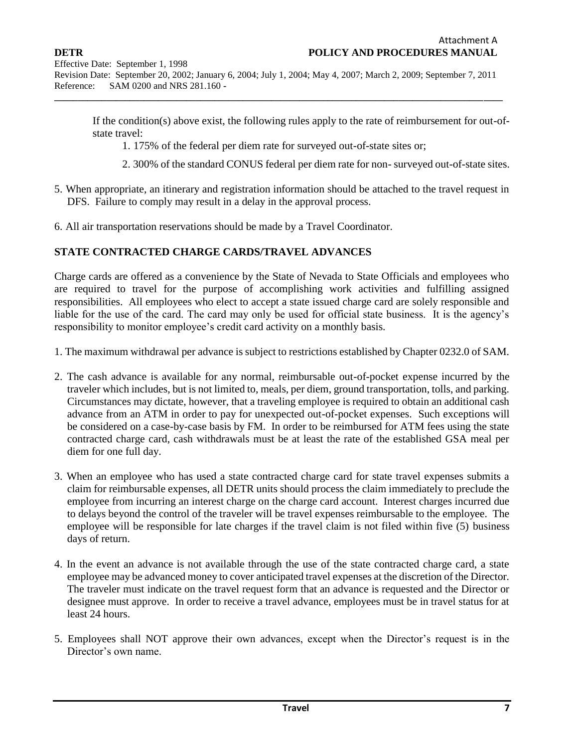**\_\_\_\_\_\_\_\_\_\_\_\_\_\_\_\_\_\_\_\_\_\_\_\_\_\_\_\_\_\_\_\_\_\_\_\_\_\_\_\_\_\_\_\_\_\_\_\_\_\_\_\_\_\_\_\_\_\_\_\_\_\_\_\_\_\_\_\_\_\_\_\_\_\_\_\_\_\_\_\_\_\_\_\_\_\_\_\_\_\_\_\_\_\_\_**

If the condition(s) above exist, the following rules apply to the rate of reimbursement for out-ofstate travel:

1. 175% of the federal per diem rate for surveyed out-of-state sites or;

- 2. 300% of the standard CONUS federal per diem rate for non- surveyed out-of-state sites.
- 5. When appropriate, an itinerary and registration information should be attached to the travel request in DFS. Failure to comply may result in a delay in the approval process.
- 6. All air transportation reservations should be made by a Travel Coordinator.

### **STATE CONTRACTED CHARGE CARDS/TRAVEL ADVANCES**

Charge cards are offered as a convenience by the State of Nevada to State Officials and employees who are required to travel for the purpose of accomplishing work activities and fulfilling assigned responsibilities. All employees who elect to accept a state issued charge card are solely responsible and liable for the use of the card. The card may only be used for official state business. It is the agency's responsibility to monitor employee's credit card activity on a monthly basis.

- 1. The maximum withdrawal per advance is subject to restrictions established by Chapter 0232.0 of SAM.
- 2. The cash advance is available for any normal, reimbursable out-of-pocket expense incurred by the traveler which includes, but is not limited to, meals, per diem, ground transportation, tolls, and parking. Circumstances may dictate, however, that a traveling employee is required to obtain an additional cash advance from an ATM in order to pay for unexpected out-of-pocket expenses. Such exceptions will be considered on a case-by-case basis by FM. In order to be reimbursed for ATM fees using the state contracted charge card, cash withdrawals must be at least the rate of the established GSA meal per diem for one full day.
- 3. When an employee who has used a state contracted charge card for state travel expenses submits a claim for reimbursable expenses, all DETR units should process the claim immediately to preclude the employee from incurring an interest charge on the charge card account. Interest charges incurred due to delays beyond the control of the traveler will be travel expenses reimbursable to the employee. The employee will be responsible for late charges if the travel claim is not filed within five (5) business days of return.
- 4. In the event an advance is not available through the use of the state contracted charge card, a state employee may be advanced money to cover anticipated travel expenses at the discretion of the Director. The traveler must indicate on the travel request form that an advance is requested and the Director or designee must approve. In order to receive a travel advance, employees must be in travel status for at least 24 hours.
- 5. Employees shall NOT approve their own advances, except when the Director's request is in the Director's own name.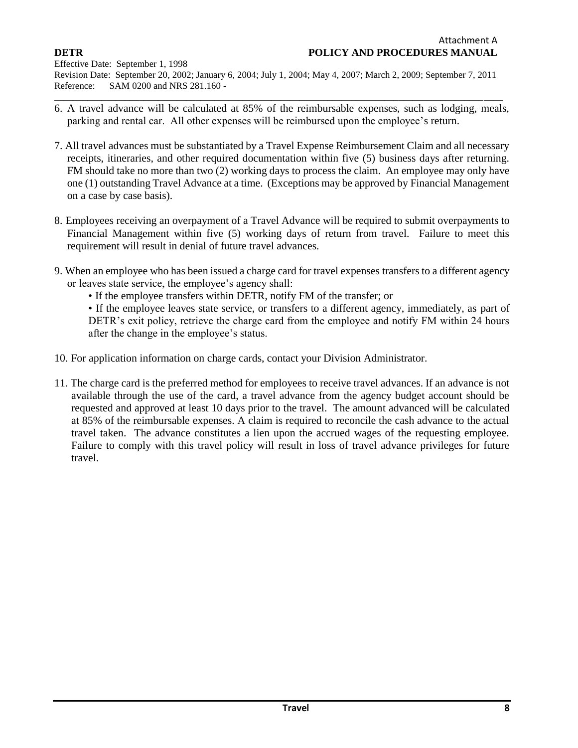- **\_\_\_\_\_\_\_\_\_\_\_\_\_\_\_\_\_\_\_\_\_\_\_\_\_\_\_\_\_\_\_\_\_\_\_\_\_\_\_\_\_\_\_\_\_\_\_\_\_\_\_\_\_\_\_\_\_\_\_\_\_\_\_\_\_\_\_\_\_\_\_\_\_\_\_\_\_\_\_\_\_\_\_\_\_\_\_\_\_\_\_\_\_\_\_** 6. A travel advance will be calculated at 85% of the reimbursable expenses, such as lodging, meals, parking and rental car. All other expenses will be reimbursed upon the employee's return.
- 7. All travel advances must be substantiated by a Travel Expense Reimbursement Claim and all necessary receipts, itineraries, and other required documentation within five (5) business days after returning. FM should take no more than two (2) working days to process the claim. An employee may only have one (1) outstanding Travel Advance at a time. (Exceptions may be approved by Financial Management on a case by case basis).
- 8. Employees receiving an overpayment of a Travel Advance will be required to submit overpayments to Financial Management within five (5) working days of return from travel. Failure to meet this requirement will result in denial of future travel advances.
- 9. When an employee who has been issued a charge card for travel expenses transfers to a different agency or leaves state service, the employee's agency shall:
	- If the employee transfers within DETR, notify FM of the transfer; or

• If the employee leaves state service, or transfers to a different agency, immediately, as part of DETR's exit policy, retrieve the charge card from the employee and notify FM within 24 hours after the change in the employee's status.

- 10. For application information on charge cards, contact your Division Administrator.
- 11. The charge card is the preferred method for employees to receive travel advances. If an advance is not available through the use of the card, a travel advance from the agency budget account should be requested and approved at least 10 days prior to the travel. The amount advanced will be calculated at 85% of the reimbursable expenses. A claim is required to reconcile the cash advance to the actual travel taken. The advance constitutes a lien upon the accrued wages of the requesting employee. Failure to comply with this travel policy will result in loss of travel advance privileges for future travel.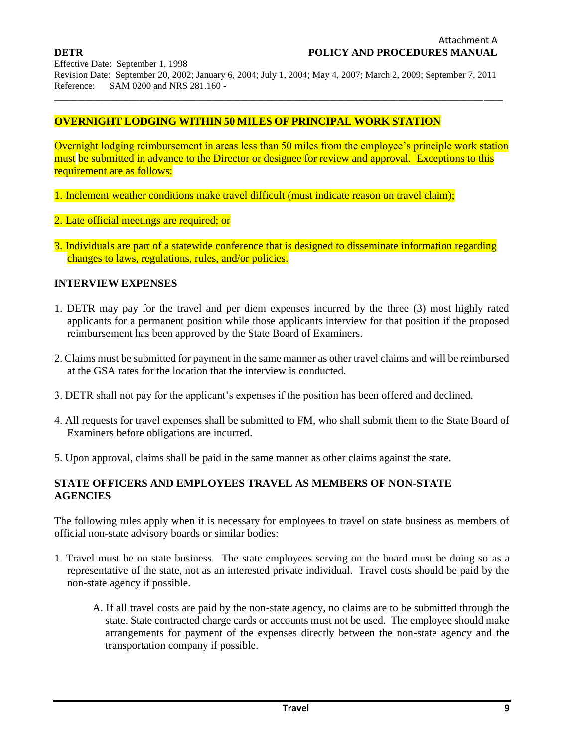Effective Date: September 1, 1998

Revision Date: September 20, 2002; January 6, 2004; July 1, 2004; May 4, 2007; March 2, 2009; September 7, 2011 Reference: SAM 0200 and NRS 281.160 **-**

**\_\_\_\_\_\_\_\_\_\_\_\_\_\_\_\_\_\_\_\_\_\_\_\_\_\_\_\_\_\_\_\_\_\_\_\_\_\_\_\_\_\_\_\_\_\_\_\_\_\_\_\_\_\_\_\_\_\_\_\_\_\_\_\_\_\_\_\_\_\_\_\_\_\_\_\_\_\_\_\_\_\_\_\_\_\_\_\_\_\_\_\_\_\_\_**

## **OVERNIGHT LODGING WITHIN 50 MILES OF PRINCIPAL WORK STATION**

Overnight lodging reimbursement in areas less than 50 miles from the employee's principle work station must be submitted in advance to the Director or designee for review and approval. Exceptions to this requirement are as follows:

- 1. Inclement weather conditions make travel difficult (must indicate reason on travel claim);
- 2. Late official meetings are required; or
- 3. Individuals are part of a statewide conference that is designed to disseminate information regarding changes to laws, regulations, rules, and/or policies.

### **INTERVIEW EXPENSES**

- 1. DETR may pay for the travel and per diem expenses incurred by the three (3) most highly rated applicants for a permanent position while those applicants interview for that position if the proposed reimbursement has been approved by the State Board of Examiners.
- 2. Claims must be submitted for payment in the same manner as other travel claims and will be reimbursed at the GSA rates for the location that the interview is conducted.
- 3. DETR shall not pay for the applicant's expenses if the position has been offered and declined.
- 4. All requests for travel expenses shall be submitted to FM, who shall submit them to the State Board of Examiners before obligations are incurred.
- 5. Upon approval, claims shall be paid in the same manner as other claims against the state.

## **STATE OFFICERS AND EMPLOYEES TRAVEL AS MEMBERS OF NON-STATE AGENCIES**

The following rules apply when it is necessary for employees to travel on state business as members of official non-state advisory boards or similar bodies:

- 1. Travel must be on state business. The state employees serving on the board must be doing so as a representative of the state, not as an interested private individual. Travel costs should be paid by the non-state agency if possible.
	- A. If all travel costs are paid by the non-state agency, no claims are to be submitted through the state. State contracted charge cards or accounts must not be used. The employee should make arrangements for payment of the expenses directly between the non-state agency and the transportation company if possible.